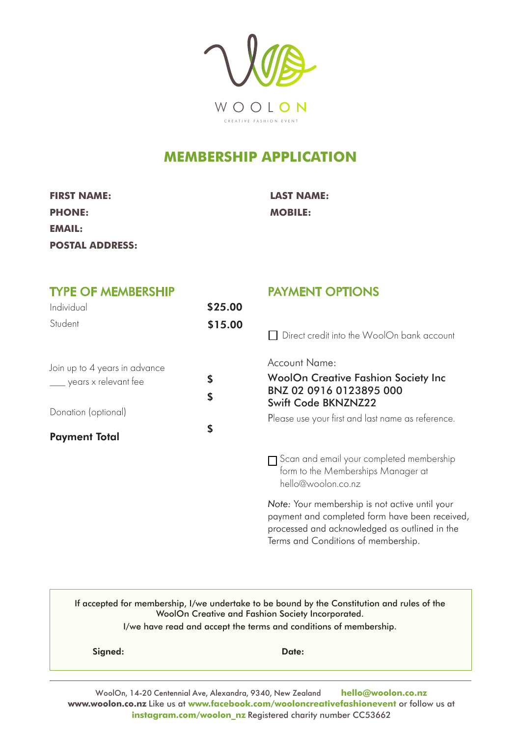

## **MEMBERSHIP APPLICATION**

| <b>FIRST NAME:</b>     |
|------------------------|
| <b>PHONE:</b>          |
| EMAIL:                 |
| <b>POSTAL ADDRESS:</b> |

**FIRST NAME: LAST NAME: PHONE: MOBILE:**

| <b>TYPE OF MEMBERSHIP</b><br>Individual<br>Student | \$25.00 | <b>PAYMENT OPTIONS</b>                                                                                                                            |  |
|----------------------------------------------------|---------|---------------------------------------------------------------------------------------------------------------------------------------------------|--|
|                                                    | \$15.00 | Direct credit into the WoolOn bank account                                                                                                        |  |
| Join up to 4 years in advance                      |         | <b>Account Name:</b>                                                                                                                              |  |
| $\frac{1}{\sqrt{2}}$ years x relevant fee          | \$      | <b>WoolOn Creative Fashion Society Inc</b>                                                                                                        |  |
|                                                    | \$      | BNZ 02 0916 0123895 000<br>Swift Code BKNZNZ22                                                                                                    |  |
| Donation (optional)                                |         | Please use your first and last name as reference.                                                                                                 |  |
| <b>Payment Total</b>                               | \$      |                                                                                                                                                   |  |
|                                                    |         | $\Box$ Scan and email your completed membership<br>form to the Memberships Manager at<br>hello@woolon.co.nz                                       |  |
|                                                    |         | Note: Your membership is not active until your<br>payment and completed form have been received,<br>processed and acknowledged as outlined in the |  |

If accepted for membership, I/we undertake to be bound by the Constitution and rules of the WoolOn Creative and Fashion Society Incorporated. I/we have read and accept the terms and conditions of membership.

Signed: Date:

Terms and Conditions of membership.

WoolOn, 14-20 Centennial Ave, Alexandra, 9340, New Zealand **hello@woolon.co.nz www.woolon.co.nz** Like us at **www.facebook.com/wooloncreativefashionevent** or follow us at **instagram.com/woolon\_nz** Registered charity number CC53662